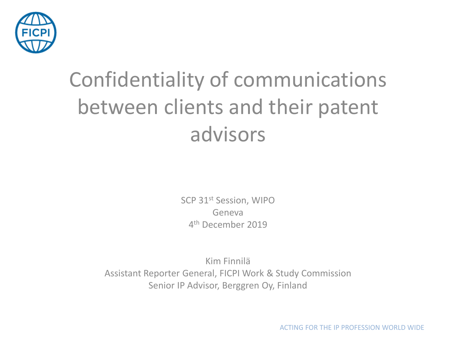

#### Confidentiality of communications between clients and their patent advisors

SCP 31st Session, WIPO Geneva 4<sup>th</sup> December 2019

Kim Finnilä Assistant Reporter General, FICPI Work & Study Commission Senior IP Advisor, Berggren Oy, Finland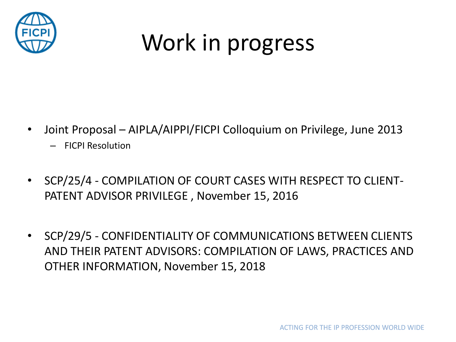

#### Work in progress

- Joint Proposal AIPLA/AIPPI/FICPI Colloquium on Privilege, June 2013
	- FICPI Resolution
- SCP/25/4 COMPILATION OF COURT CASES WITH RESPECT TO CLIENT-PATENT ADVISOR PRIVILEGE , November 15, 2016
- SCP/29/5 CONFIDENTIALITY OF COMMUNICATIONS BETWEEN CLIENTS AND THEIR PATENT ADVISORS: COMPILATION OF LAWS, PRACTICES AND OTHER INFORMATION, November 15, 2018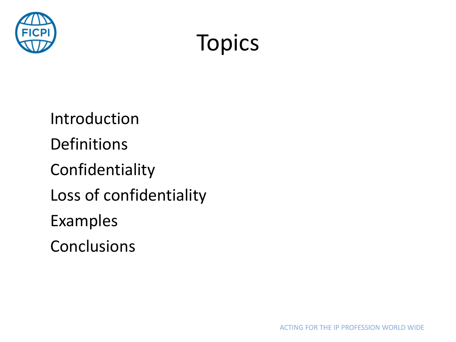

#### Topics

Introduction Definitions Confidentiality Loss of confidentiality Examples Conclusions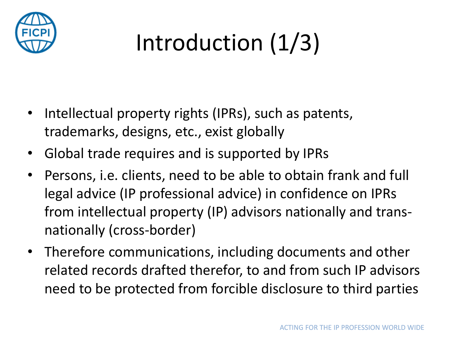

## Introduction (1/3)

- Intellectual property rights (IPRs), such as patents, trademarks, designs, etc., exist globally
- Global trade requires and is supported by IPRs
- Persons, i.e. clients, need to be able to obtain frank and full legal advice (IP professional advice) in confidence on IPRs from intellectual property (IP) advisors nationally and transnationally (cross-border)
- Therefore communications, including documents and other related records drafted therefor, to and from such IP advisors need to be protected from forcible disclosure to third parties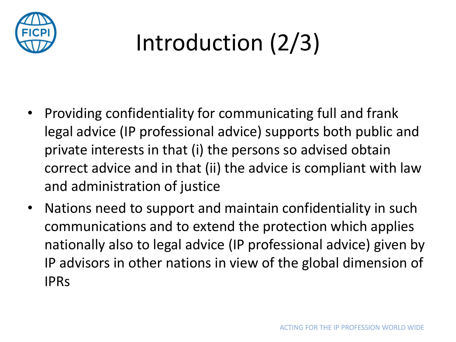

#### Introduction (2/3)

- Providing confidentiality for communicating full and frank legal advice (IP professional advice) supports both public and private interests in that (i) the persons so advised obtain correct advice and in that (ii) the advice is compliant with law and administration of justice
- Nations need to support and maintain confidentiality in such communications and to extend the protection which applies nationally also to legal advice (IP professional advice) given by IP advisors in other nations in view of the global dimension of IPRs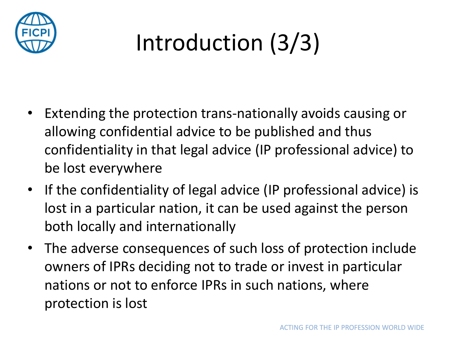

## Introduction (3/3)

- Extending the protection trans-nationally avoids causing or allowing confidential advice to be published and thus confidentiality in that legal advice (IP professional advice) to be lost everywhere
- If the confidentiality of legal advice (IP professional advice) is lost in a particular nation, it can be used against the person both locally and internationally
- The adverse consequences of such loss of protection include owners of IPRs deciding not to trade or invest in particular nations or not to enforce IPRs in such nations, where protection is lost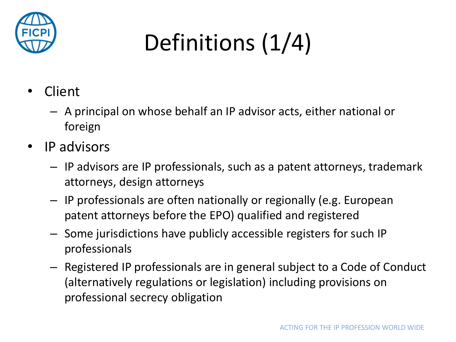

# Definitions (1/4)

- Client
	- A principal on whose behalf an IP advisor acts, either national or foreign
- IP advisors
	- IP advisors are IP professionals, such as a patent attorneys, trademark attorneys, design attorneys
	- IP professionals are often nationally or regionally (e.g. European patent attorneys before the EPO) qualified and registered
	- Some jurisdictions have publicly accessible registers for such IP professionals
	- Registered IP professionals are in general subject to a Code of Conduct (alternatively regulations or legislation) including provisions on professional secrecy obligation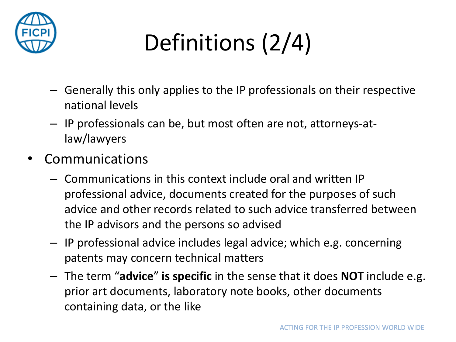

## Definitions (2/4)

- Generally this only applies to the IP professionals on their respective national levels
- IP professionals can be, but most often are not, attorneys-atlaw/lawyers
- **Communications** 
	- Communications in this context include oral and written IP professional advice, documents created for the purposes of such advice and other records related to such advice transferred between the IP advisors and the persons so advised
	- IP professional advice includes legal advice; which e.g. concerning patents may concern technical matters
	- The term "**advice**" **is specific** in the sense that it does **NOT** include e.g. prior art documents, laboratory note books, other documents containing data, or the like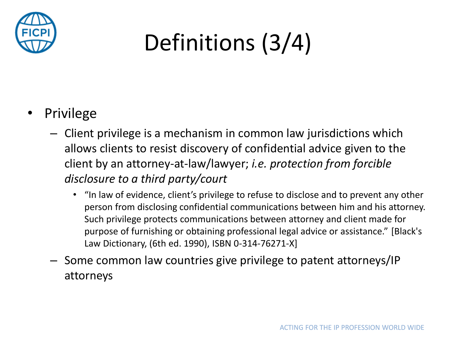

#### Definitions (3/4)

- **Privilege** 
	- Client privilege is a mechanism in common law jurisdictions which allows clients to resist discovery of confidential advice given to the client by an attorney-at-law/lawyer; *i.e. protection from forcible disclosure to a third party/court*
		- "In law of evidence, client's privilege to refuse to disclose and to prevent any other person from disclosing confidential communications between him and his attorney. Such privilege protects communications between attorney and client made for purpose of furnishing or obtaining professional legal advice or assistance." [Black's Law Dictionary, (6th ed. 1990), ISBN 0-314-76271-X]
	- Some common law countries give privilege to patent attorneys/IP attorneys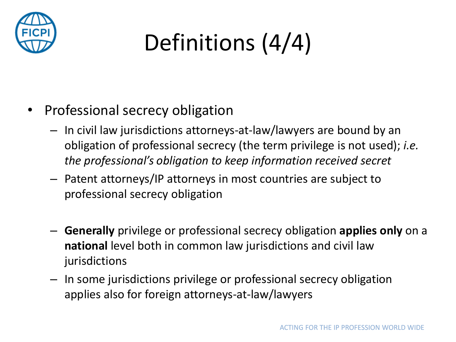

# Definitions (4/4)

- Professional secrecy obligation
	- In civil law jurisdictions attorneys-at-law/lawyers are bound by an obligation of professional secrecy (the term privilege is not used); *i.e. the professional's obligation to keep information received secret*
	- Patent attorneys/IP attorneys in most countries are subject to professional secrecy obligation
	- **Generally** privilege or professional secrecy obligation **applies only** on a **national** level both in common law jurisdictions and civil law jurisdictions
	- In some jurisdictions privilege or professional secrecy obligation applies also for foreign attorneys-at-law/lawyers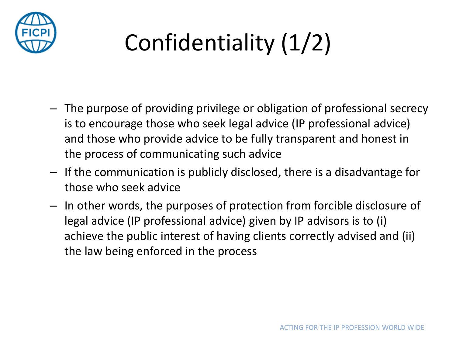

## Confidentiality (1/2)

- The purpose of providing privilege or obligation of professional secrecy is to encourage those who seek legal advice (IP professional advice) and those who provide advice to be fully transparent and honest in the process of communicating such advice
- If the communication is publicly disclosed, there is a disadvantage for those who seek advice
- In other words, the purposes of protection from forcible disclosure of legal advice (IP professional advice) given by IP advisors is to (i) achieve the public interest of having clients correctly advised and (ii) the law being enforced in the process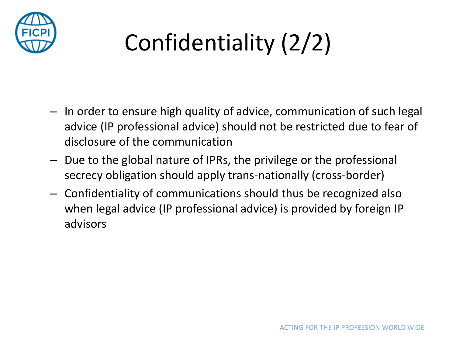

## Confidentiality (2/2)

- In order to ensure high quality of advice, communication of such legal advice (IP professional advice) should not be restricted due to fear of disclosure of the communication
- Due to the global nature of IPRs, the privilege or the professional secrecy obligation should apply trans-nationally (cross-border)
- Confidentiality of communications should thus be recognized also when legal advice (IP professional advice) is provided by foreign IP advisors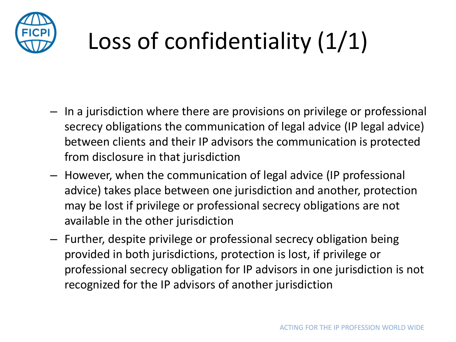

#### Loss of confidentiality (1/1)

- In a jurisdiction where there are provisions on privilege or professional secrecy obligations the communication of legal advice (IP legal advice) between clients and their IP advisors the communication is protected from disclosure in that jurisdiction
- However, when the communication of legal advice (IP professional advice) takes place between one jurisdiction and another, protection may be lost if privilege or professional secrecy obligations are not available in the other jurisdiction
- Further, despite privilege or professional secrecy obligation being provided in both jurisdictions, protection is lost, if privilege or professional secrecy obligation for IP advisors in one jurisdiction is not recognized for the IP advisors of another jurisdiction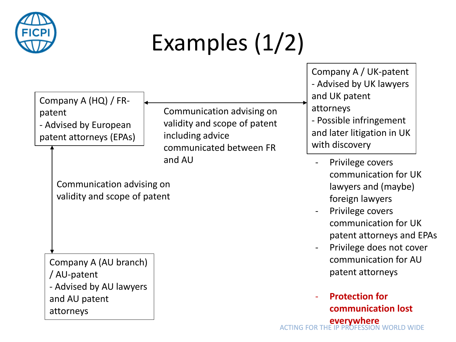

#### Examples (1/2)

Company A (HQ) / FRpatent - Advised by European patent attorneys (EPAs)

Communication advising on validity and scope of patent including advice communicated between FR and AU

Communication advising on validity and scope of patent

Company A (AU branch) / AU-patent - Advised by AU lawyers and AU patent attorneys

Company A / UK-patent - Advised by UK lawyers and UK patent attorneys - Possible infringement and later litigation in UK with discovery

- Privilege covers communication for UK lawyers and (maybe) foreign lawyers
- Privilege covers communication for UK patent attorneys and EPAs
- Privilege does not cover communication for AU patent attorneys

#### **WORLD WIDE** - **Protection for communication lost everywhere**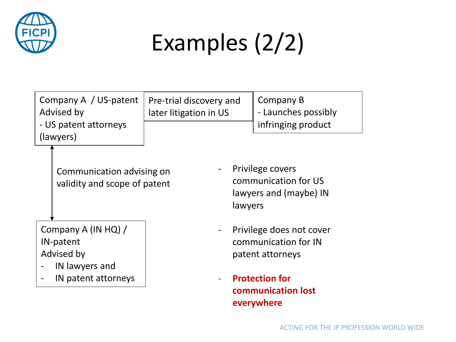

#### Examples (2/2)

Pre-trial discovery and

later litigation in US

Company A / US-patent Advised by - US patent attorneys (lawyers)

> Communication advising on validity and scope of patent

Company A (IN HQ) / IN-patent Advised by

- IN lawyers and
- IN patent attorneys

Privilege covers communication for US lawyers and (maybe) IN lawyers

Company B

- Launches possibly infringing product

- Privilege does not cover communication for IN patent attorneys
- **Protection for communication lost everywhere**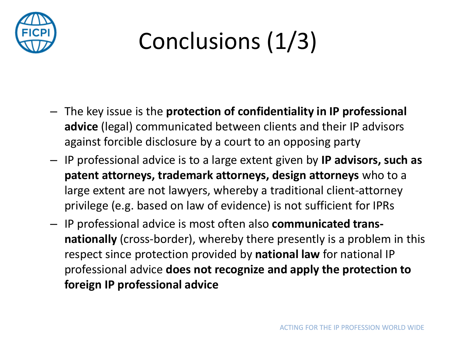

#### Conclusions (1/3)

- The key issue is the **protection of confidentiality in IP professional advice** (legal) communicated between clients and their IP advisors against forcible disclosure by a court to an opposing party
- IP professional advice is to a large extent given by **IP advisors, such as patent attorneys, trademark attorneys, design attorneys** who to a large extent are not lawyers, whereby a traditional client-attorney privilege (e.g. based on law of evidence) is not sufficient for IPRs
- IP professional advice is most often also **communicated transnationally** (cross-border), whereby there presently is a problem in this respect since protection provided by **national law** for national IP professional advice **does not recognize and apply the protection to foreign IP professional advice**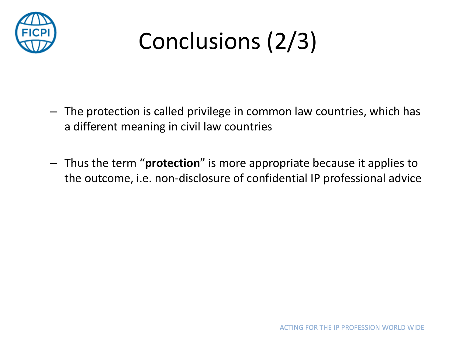

#### Conclusions (2/3)

- The protection is called privilege in common law countries, which has a different meaning in civil law countries
- Thus the term "**protection**" is more appropriate because it applies to the outcome, i.e. non-disclosure of confidential IP professional advice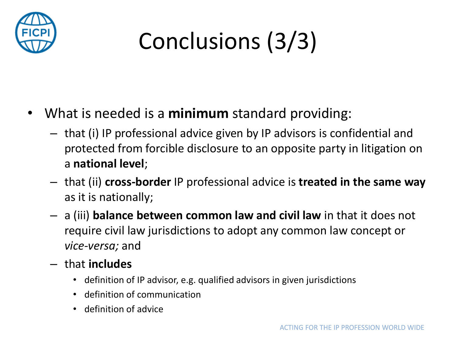

## Conclusions (3/3)

- What is needed is a **minimum** standard providing:
	- that (i) IP professional advice given by IP advisors is confidential and protected from forcible disclosure to an opposite party in litigation on a **national level**;
	- that (ii) **cross-border** IP professional advice is **treated in the same way** as it is nationally;
	- a (iii) **balance between common law and civil law** in that it does not require civil law jurisdictions to adopt any common law concept or *vice-versa;* and
	- that **includes**
		- definition of IP advisor, e.g. qualified advisors in given jurisdictions
		- definition of communication
		- definition of advice